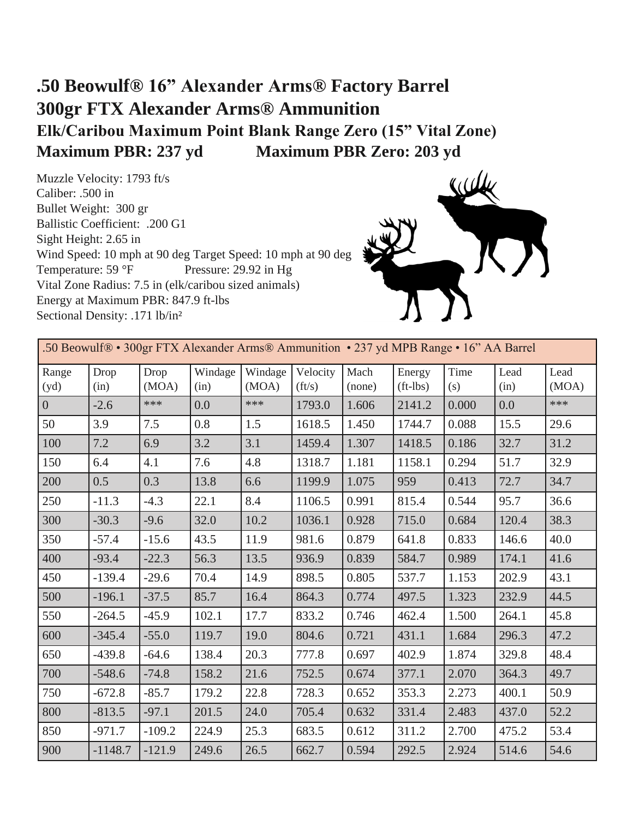## **.50 Beowulf® 16" Alexander Arms® Factory Barrel 300gr FTX Alexander Arms® Ammunition Elk/Caribou Maximum Point Blank Range Zero (15" Vital Zone) Maximum PBR: 237 yd Maximum PBR Zero: 203 yd**

Muzzle Velocity: 1793 ft/s Caliber: .500 in Bullet Weight: 300 gr Ballistic Coefficient: .200 G1 Sight Height: 2.65 in Wind Speed: 10 mph at 90 deg Target Speed: 10 mph at 90 deg<br>Temperature: 59 °F Pressure: 29.92 in Hg Pressure:  $29.92$  in Hg Vital Zone Radius: 7.5 in (elk/caribou sized animals) Energy at Maximum PBR: 847.9 ft-lbs Sectional Density: .171 lb/in²



| .50 Beowulf® • 300gr FTX Alexander Arms® Ammunition • 237 yd MPB Range • 16" AA Barrel |              |               |                 |                  |                    |                |                      |             |              |               |  |
|----------------------------------------------------------------------------------------|--------------|---------------|-----------------|------------------|--------------------|----------------|----------------------|-------------|--------------|---------------|--|
| Range<br>(yd)                                                                          | Drop<br>(in) | Drop<br>(MOA) | Windage<br>(in) | Windage<br>(MOA) | Velocity<br>(ft/s) | Mach<br>(none) | Energy<br>$(ft-1bs)$ | Time<br>(s) | Lead<br>(in) | Lead<br>(MOA) |  |
| $\overline{0}$                                                                         | $-2.6$       | ***           | 0.0             | ***              | 1793.0             | 1.606          | 2141.2               | 0.000       | 0.0          | ***           |  |
| 50                                                                                     | 3.9          | 7.5           | 0.8             | 1.5              | 1618.5             | 1.450          | 1744.7               | 0.088       | 15.5         | 29.6          |  |
| 100                                                                                    | 7.2          | 6.9           | 3.2             | 3.1              | 1459.4             | 1.307          | 1418.5               | 0.186       | 32.7         | 31.2          |  |
| 150                                                                                    | 6.4          | 4.1           | 7.6             | 4.8              | 1318.7             | 1.181          | 1158.1               | 0.294       | 51.7         | 32.9          |  |
| 200                                                                                    | 0.5          | 0.3           | 13.8            | 6.6              | 1199.9             | 1.075          | 959                  | 0.413       | 72.7         | 34.7          |  |
| 250                                                                                    | $-11.3$      | $-4.3$        | 22.1            | 8.4              | 1106.5             | 0.991          | 815.4                | 0.544       | 95.7         | 36.6          |  |
| 300                                                                                    | $-30.3$      | $-9.6$        | 32.0            | 10.2             | 1036.1             | 0.928          | 715.0                | 0.684       | 120.4        | 38.3          |  |
| 350                                                                                    | $-57.4$      | $-15.6$       | 43.5            | 11.9             | 981.6              | 0.879          | 641.8                | 0.833       | 146.6        | 40.0          |  |
| 400                                                                                    | $-93.4$      | $-22.3$       | 56.3            | 13.5             | 936.9              | 0.839          | 584.7                | 0.989       | 174.1        | 41.6          |  |
| 450                                                                                    | $-139.4$     | $-29.6$       | 70.4            | 14.9             | 898.5              | 0.805          | 537.7                | 1.153       | 202.9        | 43.1          |  |
| 500                                                                                    | $-196.1$     | $-37.5$       | 85.7            | 16.4             | 864.3              | 0.774          | 497.5                | 1.323       | 232.9        | 44.5          |  |
| 550                                                                                    | $-264.5$     | $-45.9$       | 102.1           | 17.7             | 833.2              | 0.746          | 462.4                | 1.500       | 264.1        | 45.8          |  |
| 600                                                                                    | $-345.4$     | $-55.0$       | 119.7           | 19.0             | 804.6              | 0.721          | 431.1                | 1.684       | 296.3        | 47.2          |  |
| 650                                                                                    | $-439.8$     | $-64.6$       | 138.4           | 20.3             | 777.8              | 0.697          | 402.9                | 1.874       | 329.8        | 48.4          |  |
| 700                                                                                    | $-548.6$     | $-74.8$       | 158.2           | 21.6             | 752.5              | 0.674          | 377.1                | 2.070       | 364.3        | 49.7          |  |
| 750                                                                                    | $-672.8$     | $-85.7$       | 179.2           | 22.8             | 728.3              | 0.652          | 353.3                | 2.273       | 400.1        | 50.9          |  |
| 800                                                                                    | $-813.5$     | $-97.1$       | 201.5           | 24.0             | 705.4              | 0.632          | 331.4                | 2.483       | 437.0        | 52.2          |  |
| 850                                                                                    | $-971.7$     | $-109.2$      | 224.9           | 25.3             | 683.5              | 0.612          | 311.2                | 2.700       | 475.2        | 53.4          |  |
| 900                                                                                    | $-1148.7$    | $-121.9$      | 249.6           | 26.5             | 662.7              | 0.594          | 292.5                | 2.924       | 514.6        | 54.6          |  |